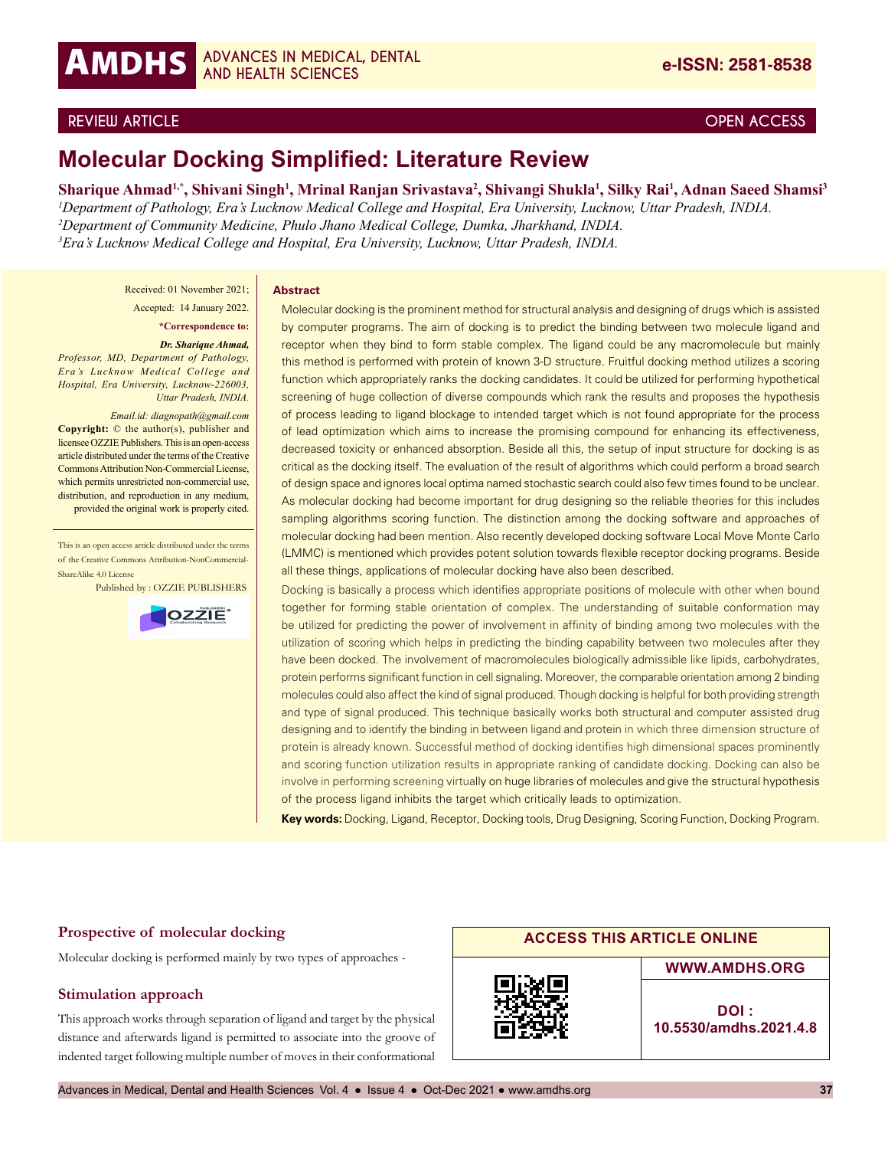# **REVIEW ARTICLE OPEN ACCESS**

# **Molecular Docking Simplified: Literature Review**

**Sharique Ahmad1,\*, Shivani Singh1 , Mrinal Ranjan Srivastava2 , Shivangi Shukla1 , Silky Rai1 , Adnan Saeed Shamsi3** *Department of Pathology, Era's Lucknow Medical College and Hospital, Era University, Lucknow, Uttar Pradesh, INDIA. Department of Community Medicine, Phulo Jhano Medical College, Dumka, Jharkhand, INDIA. Era's Lucknow Medical College and Hospital, Era University, Lucknow, Uttar Pradesh, INDIA.*

Received: 01 November 2021;

Accepted: 14 January 2022.

**\*Correspondence to:**

#### *Dr. Sharique Ahmad,*

*Professor, MD, Department of Pathology, Era's Lucknow Medical College and Hospital, Era University, Lucknow-226003, Uttar Pradesh, INDIA.* 

*Email.id: diagnopath@gmail.com* **Copyright:** © the author(s), publisher and licensee OZZIE Publishers. This is an open-access article distributed under the terms of the Creative Commons Attribution Non-Commercial License, which permits unrestricted non-commercial use, distribution, and reproduction in any medium, provided the original work is properly cited.

This is an open access article distributed under the terms of the Creative Commons Attribution-NonCommercial-ShareAlike 4.0 License

Published by : OZZIE PUBLISHERS



#### **Abstract**

Molecular docking is the prominent method for structural analysis and designing of drugs which is assisted by computer programs. The aim of docking is to predict the binding between two molecule ligand and receptor when they bind to form stable complex. The ligand could be any macromolecule but mainly this method is performed with protein of known 3-D structure. Fruitful docking method utilizes a scoring function which appropriately ranks the docking candidates. It could be utilized for performing hypothetical screening of huge collection of diverse compounds which rank the results and proposes the hypothesis of process leading to ligand blockage to intended target which is not found appropriate for the process of lead optimization which aims to increase the promising compound for enhancing its effectiveness, decreased toxicity or enhanced absorption. Beside all this, the setup of input structure for docking is as critical as the docking itself. The evaluation of the result of algorithms which could perform a broad search of design space and ignores local optima named stochastic search could also few times found to be unclear. As molecular docking had become important for drug designing so the reliable theories for this includes sampling algorithms scoring function. The distinction among the docking software and approaches of molecular docking had been mention. Also recently developed docking software Local Move Monte Carlo (LMMC) is mentioned which provides potent solution towards flexible receptor docking programs. Beside all these things, applications of molecular docking have also been described.

Docking is basically a process which identifies appropriate positions of molecule with other when bound together for forming stable orientation of complex. The understanding of suitable conformation may be utilized for predicting the power of involvement in affinity of binding among two molecules with the utilization of scoring which helps in predicting the binding capability between two molecules after they have been docked. The involvement of macromolecules biologically admissible like lipids, carbohydrates, protein performs significant function in cell signaling. Moreover, the comparable orientation among 2 binding molecules could also affect the kind of signal produced. Though docking is helpful for both providing strength and type of signal produced. This technique basically works both structural and computer assisted drug designing and to identify the binding in between ligand and protein in which three dimension structure of protein is already known. Successful method of docking identifies high dimensional spaces prominently and scoring function utilization results in appropriate ranking of candidate docking. Docking can also be involve in performing screening virtually on huge libraries of molecules and give the structural hypothesis of the process ligand inhibits the target which critically leads to optimization.

**Key words:** Docking, Ligand, Receptor, Docking tools, Drug Designing, Scoring Function, Docking Program.

# **Prospective of molecular docking**

Molecular docking is performed mainly by two types of approaches -

#### **Stimulation approach**

This approach works through separation of ligand and target by the physical distance and afterwards ligand is permitted to associate into the groove of indented target following multiple number of moves in their conformational

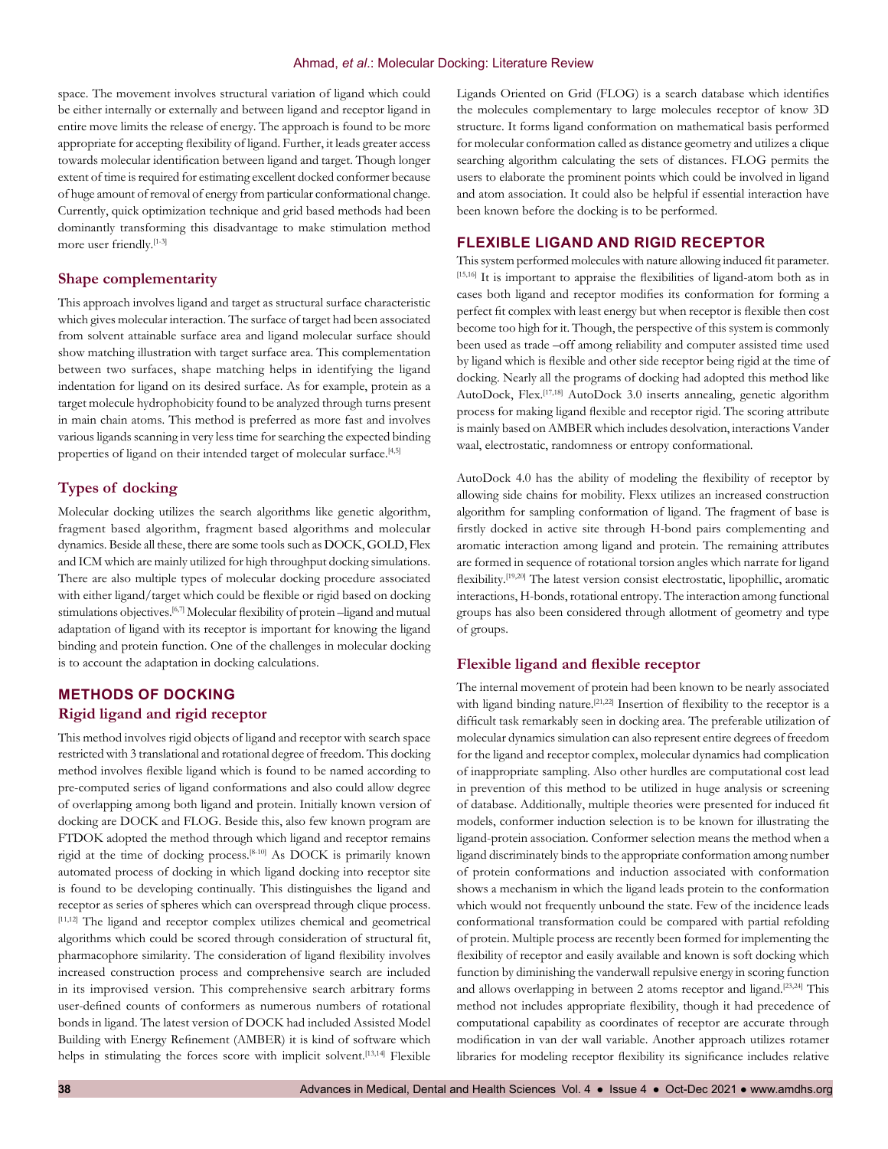space. The movement involves structural variation of ligand which could be either internally or externally and between ligand and receptor ligand in entire move limits the release of energy. The approach is found to be more appropriate for accepting flexibility of ligand. Further, it leads greater access towards molecular identification between ligand and target. Though longer extent of time is required for estimating excellent docked conformer because of huge amount of removal of energy from particular conformational change. Currently, quick optimization technique and grid based methods had been dominantly transforming this disadvantage to make stimulation method more user friendly.[1-3]

# **Shape complementarity**

This approach involves ligand and target as structural surface characteristic which gives molecular interaction. The surface of target had been associated from solvent attainable surface area and ligand molecular surface should show matching illustration with target surface area. This complementation between two surfaces, shape matching helps in identifying the ligand indentation for ligand on its desired surface. As for example, protein as a target molecule hydrophobicity found to be analyzed through turns present in main chain atoms. This method is preferred as more fast and involves various ligands scanning in very less time for searching the expected binding properties of ligand on their intended target of molecular surface.<sup>[4,5]</sup>

# **Types of docking**

Molecular docking utilizes the search algorithms like genetic algorithm, fragment based algorithm, fragment based algorithms and molecular dynamics. Beside all these, there are some tools such as DOCK, GOLD, Flex and ICM which are mainly utilized for high throughput docking simulations. There are also multiple types of molecular docking procedure associated with either ligand/target which could be flexible or rigid based on docking stimulations objectives.<sup>[6,7]</sup> Molecular flexibility of protein –ligand and mutual adaptation of ligand with its receptor is important for knowing the ligand binding and protein function. One of the challenges in molecular docking is to account the adaptation in docking calculations.

# **METHODS OF DOCKING Rigid ligand and rigid receptor**

This method involves rigid objects of ligand and receptor with search space restricted with 3 translational and rotational degree of freedom. This docking method involves flexible ligand which is found to be named according to pre-computed series of ligand conformations and also could allow degree of overlapping among both ligand and protein. Initially known version of docking are DOCK and FLOG. Beside this, also few known program are FTDOK adopted the method through which ligand and receptor remains rigid at the time of docking process.[8-10] As DOCK is primarily known automated process of docking in which ligand docking into receptor site is found to be developing continually. This distinguishes the ligand and receptor as series of spheres which can overspread through clique process. [11,12] The ligand and receptor complex utilizes chemical and geometrical algorithms which could be scored through consideration of structural fit, pharmacophore similarity. The consideration of ligand flexibility involves increased construction process and comprehensive search are included in its improvised version. This comprehensive search arbitrary forms user-defined counts of conformers as numerous numbers of rotational bonds in ligand. The latest version of DOCK had included Assisted Model Building with Energy Refinement (AMBER) it is kind of software which helps in stimulating the forces score with implicit solvent.<sup>[13,14]</sup> Flexible

Ligands Oriented on Grid (FLOG) is a search database which identifies the molecules complementary to large molecules receptor of know 3D structure. It forms ligand conformation on mathematical basis performed for molecular conformation called as distance geometry and utilizes a clique searching algorithm calculating the sets of distances. FLOG permits the users to elaborate the prominent points which could be involved in ligand and atom association. It could also be helpful if essential interaction have been known before the docking is to be performed.

# **FLEXIBLE LIGAND AND RIGID RECEPTOR**

This system performed molecules with nature allowing induced fit parameter. [15,16] It is important to appraise the flexibilities of ligand-atom both as in cases both ligand and receptor modifies its conformation for forming a perfect fit complex with least energy but when receptor is flexible then cost become too high for it. Though, the perspective of this system is commonly been used as trade –off among reliability and computer assisted time used by ligand which is flexible and other side receptor being rigid at the time of docking. Nearly all the programs of docking had adopted this method like AutoDock, Flex.<sup>[17,18]</sup> AutoDock 3.0 inserts annealing, genetic algorithm process for making ligand flexible and receptor rigid. The scoring attribute is mainly based on AMBER which includes desolvation, interactions Vander waal, electrostatic, randomness or entropy conformational.

AutoDock 4.0 has the ability of modeling the flexibility of receptor by allowing side chains for mobility. Flexx utilizes an increased construction algorithm for sampling conformation of ligand. The fragment of base is firstly docked in active site through H-bond pairs complementing and aromatic interaction among ligand and protein. The remaining attributes are formed in sequence of rotational torsion angles which narrate for ligand flexibility.[19,20] The latest version consist electrostatic, lipophillic, aromatic interactions, H-bonds, rotational entropy. The interaction among functional groups has also been considered through allotment of geometry and type of groups.

#### **Flexible ligand and flexible receptor**

The internal movement of protein had been known to be nearly associated with ligand binding nature.<sup>[21,22]</sup> Insertion of flexibility to the receptor is a difficult task remarkably seen in docking area. The preferable utilization of molecular dynamics simulation can also represent entire degrees of freedom for the ligand and receptor complex, molecular dynamics had complication of inappropriate sampling. Also other hurdles are computational cost lead in prevention of this method to be utilized in huge analysis or screening of database. Additionally, multiple theories were presented for induced fit models, conformer induction selection is to be known for illustrating the ligand-protein association. Conformer selection means the method when a ligand discriminately binds to the appropriate conformation among number of protein conformations and induction associated with conformation shows a mechanism in which the ligand leads protein to the conformation which would not frequently unbound the state. Few of the incidence leads conformational transformation could be compared with partial refolding of protein. Multiple process are recently been formed for implementing the flexibility of receptor and easily available and known is soft docking which function by diminishing the vanderwall repulsive energy in scoring function and allows overlapping in between 2 atoms receptor and ligand.<sup>[23,24]</sup> This method not includes appropriate flexibility, though it had precedence of computational capability as coordinates of receptor are accurate through modification in van der wall variable. Another approach utilizes rotamer libraries for modeling receptor flexibility its significance includes relative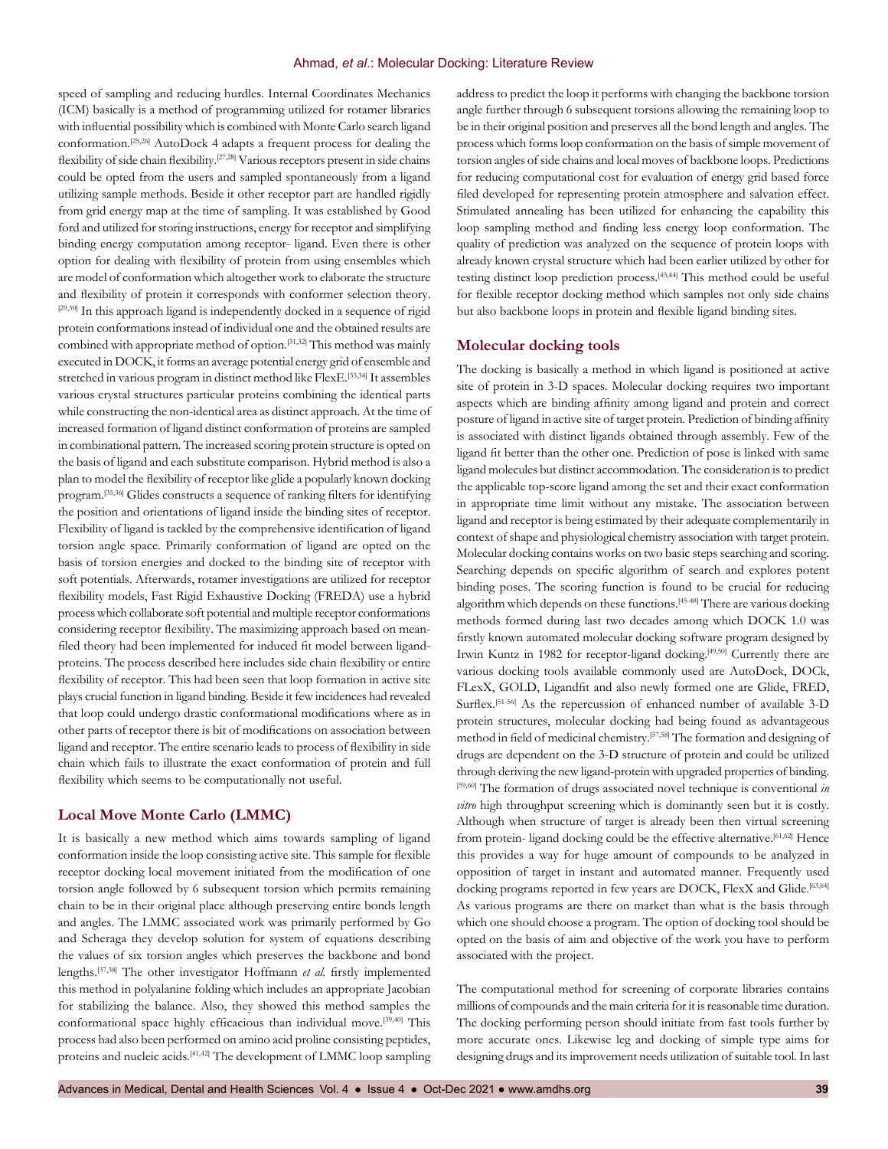speed of sampling and reducing hurdles. Internal Coordinates Mechanics (ICM) basically is a method of programming utilized for rotamer libraries with influential possibility which is combined with Monte Carlo search ligand conformation.[25,26] AutoDock 4 adapts a frequent process for dealing the flexibility of side chain flexibility.<sup>[27,28]</sup> Various receptors present in side chains could be opted from the users and sampled spontaneously from a ligand utilizing sample methods. Beside it other receptor part are handled rigidly from grid energy map at the time of sampling. It was established by Good ford and utilized for storing instructions, energy for receptor and simplifying binding energy computation among receptor- ligand. Even there is other option for dealing with flexibility of protein from using ensembles which are model of conformation which altogether work to elaborate the structure and flexibility of protein it corresponds with conformer selection theory. [29,30] In this approach ligand is independently docked in a sequence of rigid protein conformations instead of individual one and the obtained results are combined with appropriate method of option.[31,32] This method was mainly executed in DOCK, it forms an average potential energy grid of ensemble and stretched in various program in distinct method like FlexE.[33,34] It assembles various crystal structures particular proteins combining the identical parts while constructing the non-identical area as distinct approach. At the time of increased formation of ligand distinct conformation of proteins are sampled in combinational pattern. The increased scoring protein structure is opted on the basis of ligand and each substitute comparison. Hybrid method is also a plan to model the flexibility of receptor like glide a popularly known docking program.[35,36] Glides constructs a sequence of ranking filters for identifying the position and orientations of ligand inside the binding sites of receptor. Flexibility of ligand is tackled by the comprehensive identification of ligand torsion angle space. Primarily conformation of ligand are opted on the basis of torsion energies and docked to the binding site of receptor with soft potentials. Afterwards, rotamer investigations are utilized for receptor flexibility models, Fast Rigid Exhaustive Docking (FREDA) use a hybrid process which collaborate soft potential and multiple receptor conformations considering receptor flexibility. The maximizing approach based on meanfiled theory had been implemented for induced fit model between ligandproteins. The process described here includes side chain flexibility or entire flexibility of receptor. This had been seen that loop formation in active site plays crucial function in ligand binding. Beside it few incidences had revealed that loop could undergo drastic conformational modifications where as in other parts of receptor there is bit of modifications on association between ligand and receptor. The entire scenario leads to process of flexibility in side chain which fails to illustrate the exact conformation of protein and full flexibility which seems to be computationally not useful.

# **Local Move Monte Carlo (LMMC)**

It is basically a new method which aims towards sampling of ligand conformation inside the loop consisting active site. This sample for flexible receptor docking local movement initiated from the modification of one torsion angle followed by 6 subsequent torsion which permits remaining chain to be in their original place although preserving entire bonds length and angles. The LMMC associated work was primarily performed by Go and Scheraga they develop solution for system of equations describing the values of six torsion angles which preserves the backbone and bond lengths.[37,38] The other investigator Hoffmann *et al*. firstly implemented this method in polyalanine folding which includes an appropriate Jacobian for stabilizing the balance. Also, they showed this method samples the conformational space highly efficacious than individual move.<sup>[39,40]</sup> This process had also been performed on amino acid proline consisting peptides, proteins and nucleic acids.[41,42] The development of LMMC loop sampling

address to predict the loop it performs with changing the backbone torsion angle further through 6 subsequent torsions allowing the remaining loop to be in their original position and preserves all the bond length and angles. The process which forms loop conformation on the basis of simple movement of torsion angles of side chains and local moves of backbone loops. Predictions for reducing computational cost for evaluation of energy grid based force filed developed for representing protein atmosphere and salvation effect. Stimulated annealing has been utilized for enhancing the capability this loop sampling method and finding less energy loop conformation. The quality of prediction was analyzed on the sequence of protein loops with already known crystal structure which had been earlier utilized by other for testing distinct loop prediction process.[43,44] This method could be useful for flexible receptor docking method which samples not only side chains but also backbone loops in protein and flexible ligand binding sites.

#### **Molecular docking tools**

The docking is basically a method in which ligand is positioned at active site of protein in 3-D spaces. Molecular docking requires two important aspects which are binding affinity among ligand and protein and correct posture of ligand in active site of target protein. Prediction of binding affinity is associated with distinct ligands obtained through assembly. Few of the ligand fit better than the other one. Prediction of pose is linked with same ligand molecules but distinct accommodation. The consideration is to predict the applicable top-score ligand among the set and their exact conformation in appropriate time limit without any mistake. The association between ligand and receptor is being estimated by their adequate complementarily in context of shape and physiological chemistry association with target protein. Molecular docking contains works on two basic steps searching and scoring. Searching depends on specific algorithm of search and explores potent binding poses. The scoring function is found to be crucial for reducing algorithm which depends on these functions.[45-48] There are various docking methods formed during last two decades among which DOCK 1.0 was firstly known automated molecular docking software program designed by Irwin Kuntz in 1982 for receptor-ligand docking.<sup>[49,50]</sup> Currently there are various docking tools available commonly used are AutoDock, DOCk, FLexX, GOLD, Ligandfit and also newly formed one are Glide, FRED, Surflex.<sup>[51-56]</sup> As the repercussion of enhanced number of available 3-D protein structures, molecular docking had being found as advantageous method in field of medicinal chemistry.[57,58] The formation and designing of drugs are dependent on the 3-D structure of protein and could be utilized through deriving the new ligand-protein with upgraded properties of binding. [59,60] The formation of drugs associated novel technique is conventional *in vitro* high throughput screening which is dominantly seen but it is costly. Although when structure of target is already been then virtual screening from protein- ligand docking could be the effective alternative.<sup>[61,62]</sup> Hence this provides a way for huge amount of compounds to be analyzed in opposition of target in instant and automated manner. Frequently used docking programs reported in few years are DOCK, FlexX and Glide.<sup>[63,64]</sup> As various programs are there on market than what is the basis through which one should choose a program. The option of docking tool should be opted on the basis of aim and objective of the work you have to perform associated with the project.

The computational method for screening of corporate libraries contains millions of compounds and the main criteria for it is reasonable time duration. The docking performing person should initiate from fast tools further by more accurate ones. Likewise leg and docking of simple type aims for designing drugs and its improvement needs utilization of suitable tool. In last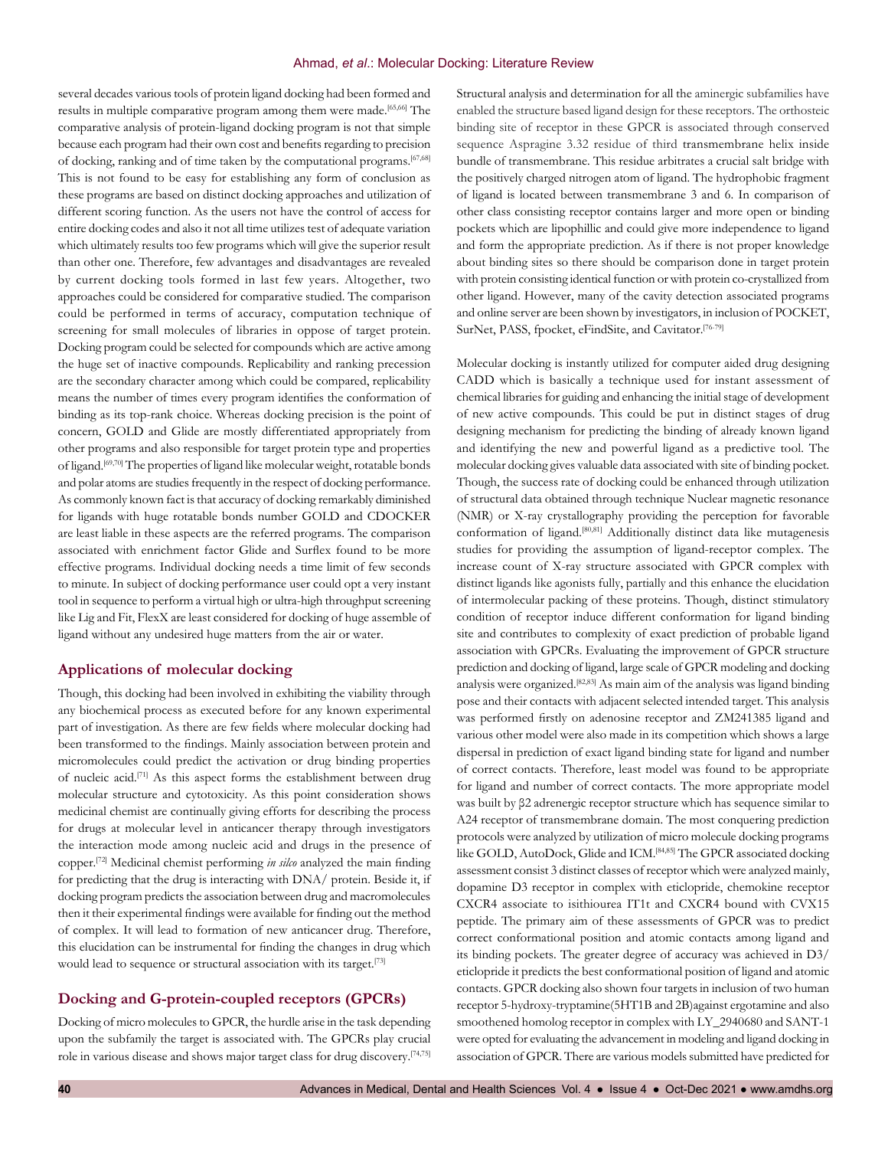#### Ahmad, *et al*.: Molecular Docking: Literature Review

several decades various tools of protein ligand docking had been formed and results in multiple comparative program among them were made.[65,66] The comparative analysis of protein-ligand docking program is not that simple because each program had their own cost and benefits regarding to precision of docking, ranking and of time taken by the computational programs.[67,68] This is not found to be easy for establishing any form of conclusion as these programs are based on distinct docking approaches and utilization of different scoring function. As the users not have the control of access for entire docking codes and also it not all time utilizes test of adequate variation which ultimately results too few programs which will give the superior result than other one. Therefore, few advantages and disadvantages are revealed by current docking tools formed in last few years. Altogether, two approaches could be considered for comparative studied. The comparison could be performed in terms of accuracy, computation technique of screening for small molecules of libraries in oppose of target protein. Docking program could be selected for compounds which are active among the huge set of inactive compounds. Replicability and ranking precession are the secondary character among which could be compared, replicability means the number of times every program identifies the conformation of binding as its top-rank choice. Whereas docking precision is the point of concern, GOLD and Glide are mostly differentiated appropriately from other programs and also responsible for target protein type and properties of ligand.[69,70] The properties of ligand like molecular weight, rotatable bonds and polar atoms are studies frequently in the respect of docking performance. As commonly known fact is that accuracy of docking remarkably diminished for ligands with huge rotatable bonds number GOLD and CDOCKER are least liable in these aspects are the referred programs. The comparison associated with enrichment factor Glide and Surflex found to be more effective programs. Individual docking needs a time limit of few seconds to minute. In subject of docking performance user could opt a very instant tool in sequence to perform a virtual high or ultra-high throughput screening like Lig and Fit, FlexX are least considered for docking of huge assemble of ligand without any undesired huge matters from the air or water.

# **Applications of molecular docking**

Though, this docking had been involved in exhibiting the viability through any biochemical process as executed before for any known experimental part of investigation. As there are few fields where molecular docking had been transformed to the findings. Mainly association between protein and micromolecules could predict the activation or drug binding properties of nucleic acid.[71] As this aspect forms the establishment between drug molecular structure and cytotoxicity. As this point consideration shows medicinal chemist are continually giving efforts for describing the process for drugs at molecular level in anticancer therapy through investigators the interaction mode among nucleic acid and drugs in the presence of copper.[72] Medicinal chemist performing *in silco* analyzed the main finding for predicting that the drug is interacting with DNA/ protein. Beside it, if docking program predicts the association between drug and macromolecules then it their experimental findings were available for finding out the method of complex. It will lead to formation of new anticancer drug. Therefore, this elucidation can be instrumental for finding the changes in drug which would lead to sequence or structural association with its target.<sup>[73]</sup>

# **Docking and G-protein-coupled receptors (GPCRs)**

Docking of micro molecules to GPCR, the hurdle arise in the task depending upon the subfamily the target is associated with. The GPCRs play crucial role in various disease and shows major target class for drug discovery.[74,75] Structural analysis and determination for all the aminergic subfamilies have enabled the structure based ligand design for these receptors. The orthosteic binding site of receptor in these GPCR is associated through conserved sequence Aspragine 3.32 residue of third transmembrane helix inside bundle of transmembrane. This residue arbitrates a crucial salt bridge with the positively charged nitrogen atom of ligand. The hydrophobic fragment of ligand is located between transmembrane 3 and 6. In comparison of other class consisting receptor contains larger and more open or binding pockets which are lipophillic and could give more independence to ligand and form the appropriate prediction. As if there is not proper knowledge about binding sites so there should be comparison done in target protein with protein consisting identical function or with protein co-crystallized from other ligand. However, many of the cavity detection associated programs and online server are been shown by investigators, in inclusion of POCKET, SurNet, PASS, fpocket, eFindSite, and Cavitator.[76-79]

Molecular docking is instantly utilized for computer aided drug designing CADD which is basically a technique used for instant assessment of chemical libraries for guiding and enhancing the initial stage of development of new active compounds. This could be put in distinct stages of drug designing mechanism for predicting the binding of already known ligand and identifying the new and powerful ligand as a predictive tool. The molecular docking gives valuable data associated with site of binding pocket. Though, the success rate of docking could be enhanced through utilization of structural data obtained through technique Nuclear magnetic resonance (NMR) or X-ray crystallography providing the perception for favorable conformation of ligand.[80,81] Additionally distinct data like mutagenesis studies for providing the assumption of ligand-receptor complex. The increase count of X-ray structure associated with GPCR complex with distinct ligands like agonists fully, partially and this enhance the elucidation of intermolecular packing of these proteins. Though, distinct stimulatory condition of receptor induce different conformation for ligand binding site and contributes to complexity of exact prediction of probable ligand association with GPCRs. Evaluating the improvement of GPCR structure prediction and docking of ligand, large scale of GPCR modeling and docking analysis were organized.[82,83] As main aim of the analysis was ligand binding pose and their contacts with adjacent selected intended target. This analysis was performed firstly on adenosine receptor and ZM241385 ligand and various other model were also made in its competition which shows a large dispersal in prediction of exact ligand binding state for ligand and number of correct contacts. Therefore, least model was found to be appropriate for ligand and number of correct contacts. The more appropriate model was built by β2 adrenergic receptor structure which has sequence similar to A24 receptor of transmembrane domain. The most conquering prediction protocols were analyzed by utilization of micro molecule docking programs like GOLD, AutoDock, Glide and ICM.[84,85] The GPCR associated docking assessment consist 3 distinct classes of receptor which were analyzed mainly, dopamine D3 receptor in complex with eticlopride, chemokine receptor CXCR4 associate to isithiourea IT1t and CXCR4 bound with CVX15 peptide. The primary aim of these assessments of GPCR was to predict correct conformational position and atomic contacts among ligand and its binding pockets. The greater degree of accuracy was achieved in D3/ eticlopride it predicts the best conformational position of ligand and atomic contacts. GPCR docking also shown four targets in inclusion of two human receptor 5-hydroxy-tryptamine(5HT1B and 2B)against ergotamine and also smoothened homolog receptor in complex with LY\_2940680 and SANT-1 were opted for evaluating the advancement in modeling and ligand docking in association of GPCR. There are various models submitted have predicted for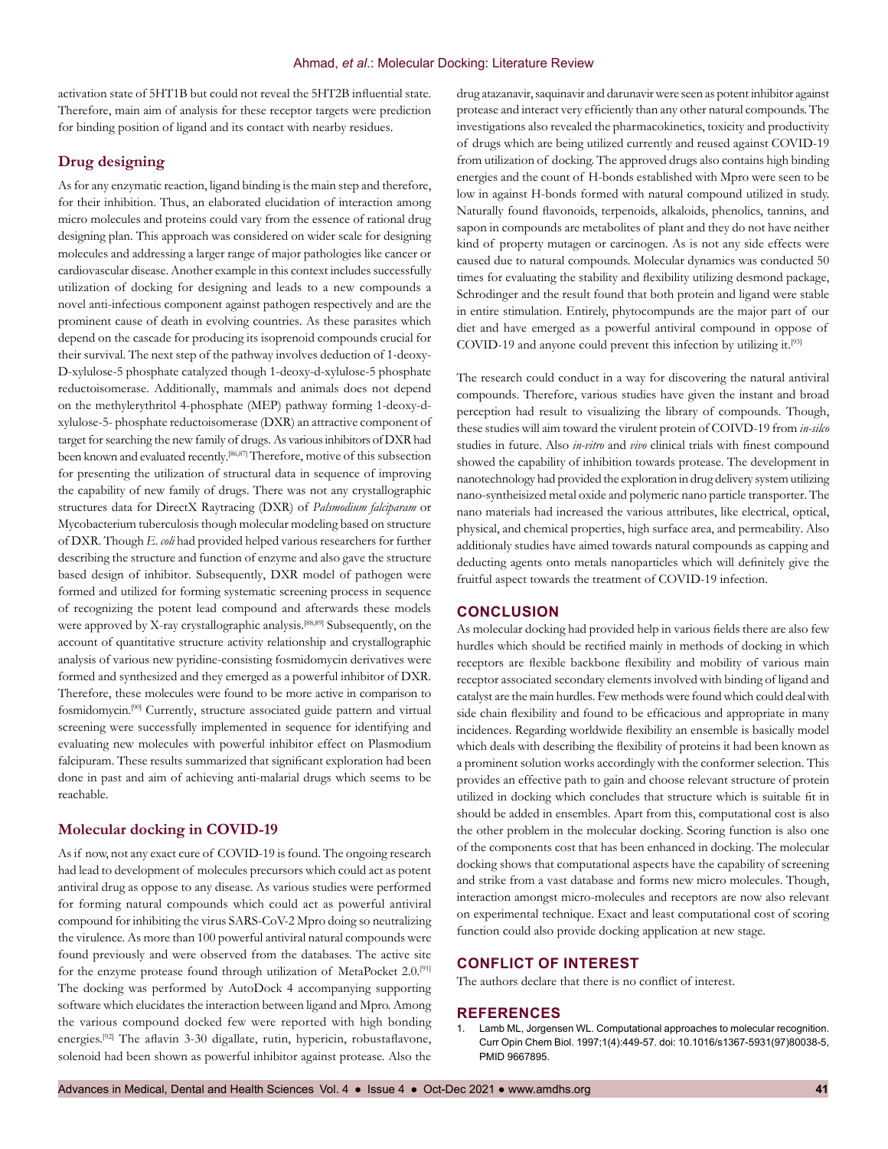activation state of 5HT1B but could not reveal the 5HT2B influential state. Therefore, main aim of analysis for these receptor targets were prediction for binding position of ligand and its contact with nearby residues.

## **Drug designing**

As for any enzymatic reaction, ligand binding is the main step and therefore, for their inhibition. Thus, an elaborated elucidation of interaction among micro molecules and proteins could vary from the essence of rational drug designing plan. This approach was considered on wider scale for designing molecules and addressing a larger range of major pathologies like cancer or cardiovascular disease. Another example in this context includes successfully utilization of docking for designing and leads to a new compounds a novel anti-infectious component against pathogen respectively and are the prominent cause of death in evolving countries. As these parasites which depend on the cascade for producing its isoprenoid compounds crucial for their survival. The next step of the pathway involves deduction of 1-deoxy-D-xylulose-5 phosphate catalyzed though 1-deoxy-d-xylulose-5 phosphate reductoisomerase. Additionally, mammals and animals does not depend on the methylerythritol 4-phosphate (MEP) pathway forming 1-deoxy-dxylulose-5- phosphate reductoisomerase (DXR) an attractive component of target for searching the new family of drugs. As various inhibitors of DXR had been known and evaluated recently.[86,87] Therefore, motive of this subsection for presenting the utilization of structural data in sequence of improving the capability of new family of drugs. There was not any crystallographic structures data for DirectX Raytracing (DXR) of *Palsmodium falciparam* or Mycobacterium tuberculosis though molecular modeling based on structure of DXR. Though *E. coli* had provided helped various researchers for further describing the structure and function of enzyme and also gave the structure based design of inhibitor. Subsequently, DXR model of pathogen were formed and utilized for forming systematic screening process in sequence of recognizing the potent lead compound and afterwards these models were approved by X-ray crystallographic analysis.[88,89] Subsequently, on the account of quantitative structure activity relationship and crystallographic analysis of various new pyridine-consisting fosmidomycin derivatives were formed and synthesized and they emerged as a powerful inhibitor of DXR. Therefore, these molecules were found to be more active in comparison to fosmidomycin.[90] Currently, structure associated guide pattern and virtual screening were successfully implemented in sequence for identifying and evaluating new molecules with powerful inhibitor effect on Plasmodium falcipuram. These results summarized that significant exploration had been done in past and aim of achieving anti-malarial drugs which seems to be reachable.

# **Molecular docking in COVID-19**

As if now, not any exact cure of COVID-19 is found. The ongoing research had lead to development of molecules precursors which could act as potent antiviral drug as oppose to any disease. As various studies were performed for forming natural compounds which could act as powerful antiviral compound for inhibiting the virus SARS-CoV-2 Mpro doing so neutralizing the virulence. As more than 100 powerful antiviral natural compounds were found previously and were observed from the databases. The active site for the enzyme protease found through utilization of MetaPocket 2.0.<sup>[91]</sup> The docking was performed by AutoDock 4 accompanying supporting software which elucidates the interaction between ligand and Mpro. Among the various compound docked few were reported with high bonding energies.[92] The aflavin 3-30 digallate, rutin, hypericin, robustaflavone, solenoid had been shown as powerful inhibitor against protease. Also the

drug atazanavir, saquinavir and darunavir were seen as potent inhibitor against protease and interact very efficiently than any other natural compounds. The investigations also revealed the pharmacokinetics, toxicity and productivity of drugs which are being utilized currently and reused against COVID-19 from utilization of docking. The approved drugs also contains high binding energies and the count of H-bonds established with Mpro were seen to be low in against H-bonds formed with natural compound utilized in study. Naturally found flavonoids, terpenoids, alkaloids, phenolics, tannins, and sapon in compounds are metabolites of plant and they do not have neither kind of property mutagen or carcinogen. As is not any side effects were caused due to natural compounds. Molecular dynamics was conducted 50 times for evaluating the stability and flexibility utilizing desmond package, Schrodinger and the result found that both protein and ligand were stable in entire stimulation. Entirely, phytocompunds are the major part of our diet and have emerged as a powerful antiviral compound in oppose of COVID-19 and anyone could prevent this infection by utilizing it.[93]

The research could conduct in a way for discovering the natural antiviral compounds. Therefore, various studies have given the instant and broad perception had result to visualizing the library of compounds. Though, these studies will aim toward the virulent protein of COIVD-19 from *in-silco* studies in future. Also *in-vitro* and *vivo* clinical trials with finest compound showed the capability of inhibition towards protease. The development in nanotechnology had provided the exploration in drug delivery system utilizing nano-syntheisized metal oxide and polymeric nano particle transporter. The nano materials had increased the various attributes, like electrical, optical, physical, and chemical properties, high surface area, and permeability. Also additionaly studies have aimed towards natural compounds as capping and deducting agents onto metals nanoparticles which will definitely give the fruitful aspect towards the treatment of COVID-19 infection.

## **CONCLUSION**

As molecular docking had provided help in various fields there are also few hurdles which should be rectified mainly in methods of docking in which receptors are flexible backbone flexibility and mobility of various main receptor associated secondary elements involved with binding of ligand and catalyst are the main hurdles. Few methods were found which could deal with side chain flexibility and found to be efficacious and appropriate in many incidences. Regarding worldwide flexibility an ensemble is basically model which deals with describing the flexibility of proteins it had been known as a prominent solution works accordingly with the conformer selection. This provides an effective path to gain and choose relevant structure of protein utilized in docking which concludes that structure which is suitable fit in should be added in ensembles. Apart from this, computational cost is also the other problem in the molecular docking. Scoring function is also one of the components cost that has been enhanced in docking. The molecular docking shows that computational aspects have the capability of screening and strike from a vast database and forms new micro molecules. Though, interaction amongst micro-molecules and receptors are now also relevant on experimental technique. Exact and least computational cost of scoring function could also provide docking application at new stage.

## **CONFLICT OF INTEREST**

The authors declare that there is no conflict of interest.

#### **REFERENCES**

Lamb ML, Jorgensen WL. Computational approaches to molecular recognition. Curr Opin Chem Biol. 1997;1(4):449-57. doi: 10.1016/s1367-5931(97)80038-5, PMID 9667895.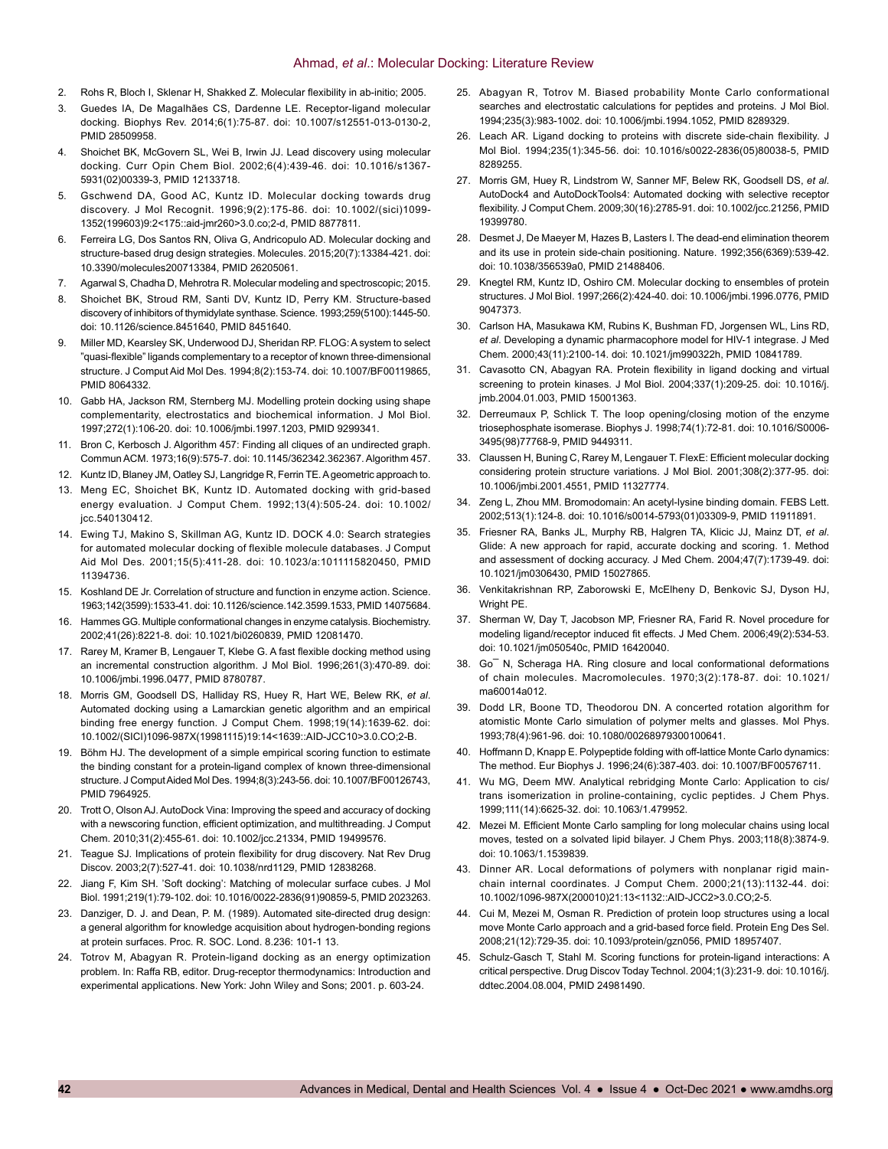- 2. Rohs R, Bloch I, Sklenar H, Shakked Z. Molecular flexibility in ab-initio; 2005.
- 3. Guedes IA, De Magalhães CS, Dardenne LE. Receptor-ligand molecular docking. Biophys Rev. 2014;6(1):75-87. doi: 10.1007/s12551-013-0130-2, PMID 28509958.
- 4. Shoichet BK, McGovern SL, Wei B, Irwin JJ. Lead discovery using molecular docking. Curr Opin Chem Biol. 2002;6(4):439-46. doi: 10.1016/s1367- 5931(02)00339-3, PMID 12133718.
- 5. Gschwend DA, Good AC, Kuntz ID. Molecular docking towards drug discovery. J Mol Recognit. 1996;9(2):175-86. doi: 10.1002/(sici)1099- 1352(199603)9:2<175::aid-jmr260>3.0.co;2-d, PMID 8877811.
- Ferreira LG, Dos Santos RN, Oliva G, Andricopulo AD. Molecular docking and structure-based drug design strategies. Molecules. 2015;20(7):13384-421. doi: 10.3390/molecules200713384, PMID 26205061.
- 7. Agarwal S, Chadha D, Mehrotra R. Molecular modeling and spectroscopic; 2015.
- 8. Shoichet BK, Stroud RM, Santi DV, Kuntz ID, Perry KM. Structure-based discovery of inhibitors of thymidylate synthase. Science. 1993;259(5100):1445-50. doi: 10.1126/science.8451640, PMID 8451640.
- 9. Miller MD, Kearsley SK, Underwood DJ, Sheridan RP. FLOG: A system to select "quasi-flexible" ligands complementary to a receptor of known three-dimensional structure. J Comput Aid Mol Des. 1994;8(2):153-74. doi: 10.1007/BF00119865, PMID 8064332.
- 10. Gabb HA, Jackson RM, Sternberg MJ. Modelling protein docking using shape complementarity, electrostatics and biochemical information. J Mol Biol. 1997;272(1):106-20. doi: 10.1006/jmbi.1997.1203, PMID 9299341.
- 11. Bron C, Kerbosch J. Algorithm 457: Finding all cliques of an undirected graph. Commun ACM. 1973;16(9):575-7. doi: 10.1145/362342.362367. Algorithm 457.
- 12. Kuntz ID, Blaney JM, Oatley SJ, Langridge R, Ferrin TE. A geometric approach to.
- 13. Meng EC, Shoichet BK, Kuntz ID. Automated docking with grid-based energy evaluation. J Comput Chem. 1992;13(4):505-24. doi: 10.1002/ jcc.540130412.
- 14. Ewing TJ, Makino S, Skillman AG, Kuntz ID. DOCK 4.0: Search strategies for automated molecular docking of flexible molecule databases. J Comput Aid Mol Des. 2001;15(5):411-28. doi: 10.1023/a:1011115820450, PMID 11394736.
- 15. Koshland DE Jr. Correlation of structure and function in enzyme action. Science. 1963;142(3599):1533-41. doi: 10.1126/science.142.3599.1533, PMID 14075684.
- 16. Hammes GG. Multiple conformational changes in enzyme catalysis. Biochemistry. 2002;41(26):8221-8. doi: 10.1021/bi0260839, PMID 12081470.
- 17. Rarey M, Kramer B, Lengauer T, Klebe G. A fast flexible docking method using an incremental construction algorithm. J Mol Biol. 1996;261(3):470-89. doi: 10.1006/jmbi.1996.0477, PMID 8780787.
- 18. Morris GM, Goodsell DS, Halliday RS, Huey R, Hart WE, Belew RK, *et al*. Automated docking using a Lamarckian genetic algorithm and an empirical binding free energy function. J Comput Chem. 1998;19(14):1639-62. doi: 10.1002/(SICI)1096-987X(19981115)19:14<1639::AID-JCC10>3.0.CO;2-B.
- 19. Böhm HJ. The development of a simple empirical scoring function to estimate the binding constant for a protein-ligand complex of known three-dimensional structure. J Comput Aided Mol Des. 1994;8(3):243-56. doi: 10.1007/BF00126743, PMID 7964925.
- 20. Trott O, Olson AJ. AutoDock Vina: Improving the speed and accuracy of docking with a newscoring function, efficient optimization, and multithreading. J Comput Chem. 2010;31(2):455-61. doi: 10.1002/jcc.21334, PMID 19499576.
- 21. Teague SJ. Implications of protein flexibility for drug discovery. Nat Rev Drug Discov. 2003;2(7):527-41. doi: 10.1038/nrd1129, PMID 12838268.
- 22. Jiang F, Kim SH. 'Soft docking': Matching of molecular surface cubes. J Mol Biol. 1991;219(1):79-102. doi: 10.1016/0022-2836(91)90859-5, PMID 2023263.
- 23. Danziger, D. J. and Dean, P. M. (1989). Automated site-directed drug design: a general algorithm for knowledge acquisition about hydrogen-bonding regions at protein surfaces. Proc. R. SOC. Lond. 8.236: 101-1 13.
- 24. Totrov M, Abagyan R. Protein-ligand docking as an energy optimization problem. In: Raffa RB, editor. Drug-receptor thermodynamics: Introduction and experimental applications. New York: John Wiley and Sons; 2001. p. 603-24.
- 25. Abagyan R, Totrov M. Biased probability Monte Carlo conformational searches and electrostatic calculations for peptides and proteins. J Mol Biol. 1994;235(3):983-1002. doi: 10.1006/jmbi.1994.1052, PMID 8289329.
- 26. Leach AR. Ligand docking to proteins with discrete side-chain flexibility. J Mol Biol. 1994;235(1):345-56. doi: 10.1016/s0022-2836(05)80038-5, PMID 8289255.
- 27. Morris GM, Huey R, Lindstrom W, Sanner MF, Belew RK, Goodsell DS, *et al*. AutoDock4 and AutoDockTools4: Automated docking with selective receptor flexibility. J Comput Chem. 2009;30(16):2785-91. doi: 10.1002/jcc.21256, PMID 19399780.
- 28. Desmet J, De Maeyer M, Hazes B, Lasters I. The dead-end elimination theorem and its use in protein side-chain positioning. Nature. 1992;356(6369):539-42. doi: 10.1038/356539a0, PMID 21488406.
- 29. Knegtel RM, Kuntz ID, Oshiro CM. Molecular docking to ensembles of protein structures. J Mol Biol. 1997;266(2):424-40. doi: 10.1006/jmbi.1996.0776, PMID 9047373.
- 30. Carlson HA, Masukawa KM, Rubins K, Bushman FD, Jorgensen WL, Lins RD, *et al*. Developing a dynamic pharmacophore model for HIV-1 integrase. J Med Chem. 2000;43(11):2100-14. doi: 10.1021/jm990322h, PMID 10841789.
- 31. Cavasotto CN, Abagyan RA. Protein flexibility in ligand docking and virtual screening to protein kinases. J Mol Biol. 2004;337(1):209-25. doi: 10.1016/j. jmb.2004.01.003, PMID 15001363.
- 32. Derreumaux P, Schlick T. The loop opening/closing motion of the enzyme triosephosphate isomerase. Biophys J. 1998;74(1):72-81. doi: 10.1016/S0006- 3495(98)77768-9, PMID 9449311.
- 33. Claussen H, Buning C, Rarey M, Lengauer T. FlexE: Efficient molecular docking considering protein structure variations. J Mol Biol. 2001;308(2):377-95. doi: 10.1006/jmbi.2001.4551, PMID 11327774.
- 34. Zeng L, Zhou MM. Bromodomain: An acetyl-lysine binding domain. FEBS Lett. 2002;513(1):124-8. doi: 10.1016/s0014-5793(01)03309-9, PMID 11911891.
- 35. Friesner RA, Banks JL, Murphy RB, Halgren TA, Klicic JJ, Mainz DT, *et al*. Glide: A new approach for rapid, accurate docking and scoring. 1. Method and assessment of docking accuracy. J Med Chem. 2004;47(7):1739-49. doi: 10.1021/jm0306430, PMID 15027865.
- 36. Venkitakrishnan RP, Zaborowski E, McElheny D, Benkovic SJ, Dyson HJ, Wright PE.
- 37. Sherman W, Day T, Jacobson MP, Friesner RA, Farid R. Novel procedure for modeling ligand/receptor induced fit effects. J Med Chem. 2006;49(2):534-53. doi: 10.1021/jm050540c, PMID 16420040.
- 38. Go¯ N, Scheraga HA. Ring closure and local conformational deformations of chain molecules. Macromolecules. 1970;3(2):178-87. doi: 10.1021/ ma60014a012.
- 39. Dodd LR, Boone TD, Theodorou DN. A concerted rotation algorithm for atomistic Monte Carlo simulation of polymer melts and glasses. Mol Phys. 1993;78(4):961-96. doi: 10.1080/00268979300100641.
- 40. Hoffmann D, Knapp E. Polypeptide folding with off-lattice Monte Carlo dynamics: The method. Eur Biophys J. 1996;24(6):387-403. doi: 10.1007/BF00576711.
- 41. Wu MG, Deem MW. Analytical rebridging Monte Carlo: Application to cis/ trans isomerization in proline-containing, cyclic peptides. J Chem Phys. 1999;111(14):6625-32. doi: 10.1063/1.479952.
- 42. Mezei M. Efficient Monte Carlo sampling for long molecular chains using local moves, tested on a solvated lipid bilayer. J Chem Phys. 2003;118(8):3874-9. doi: 10.1063/1.1539839.
- 43. Dinner AR. Local deformations of polymers with nonplanar rigid mainchain internal coordinates. J Comput Chem. 2000;21(13):1132-44. doi: 10.1002/1096-987X(200010)21:13<1132::AID-JCC2>3.0.CO;2-5.
- 44. Cui M, Mezei M, Osman R. Prediction of protein loop structures using a local move Monte Carlo approach and a grid-based force field. Protein Eng Des Sel. 2008;21(12):729-35. doi: 10.1093/protein/gzn056, PMID 18957407.
- 45. Schulz-Gasch T, Stahl M. Scoring functions for protein-ligand interactions: A critical perspective. Drug Discov Today Technol. 2004;1(3):231-9. doi: 10.1016/j. ddtec.2004.08.004, PMID 24981490.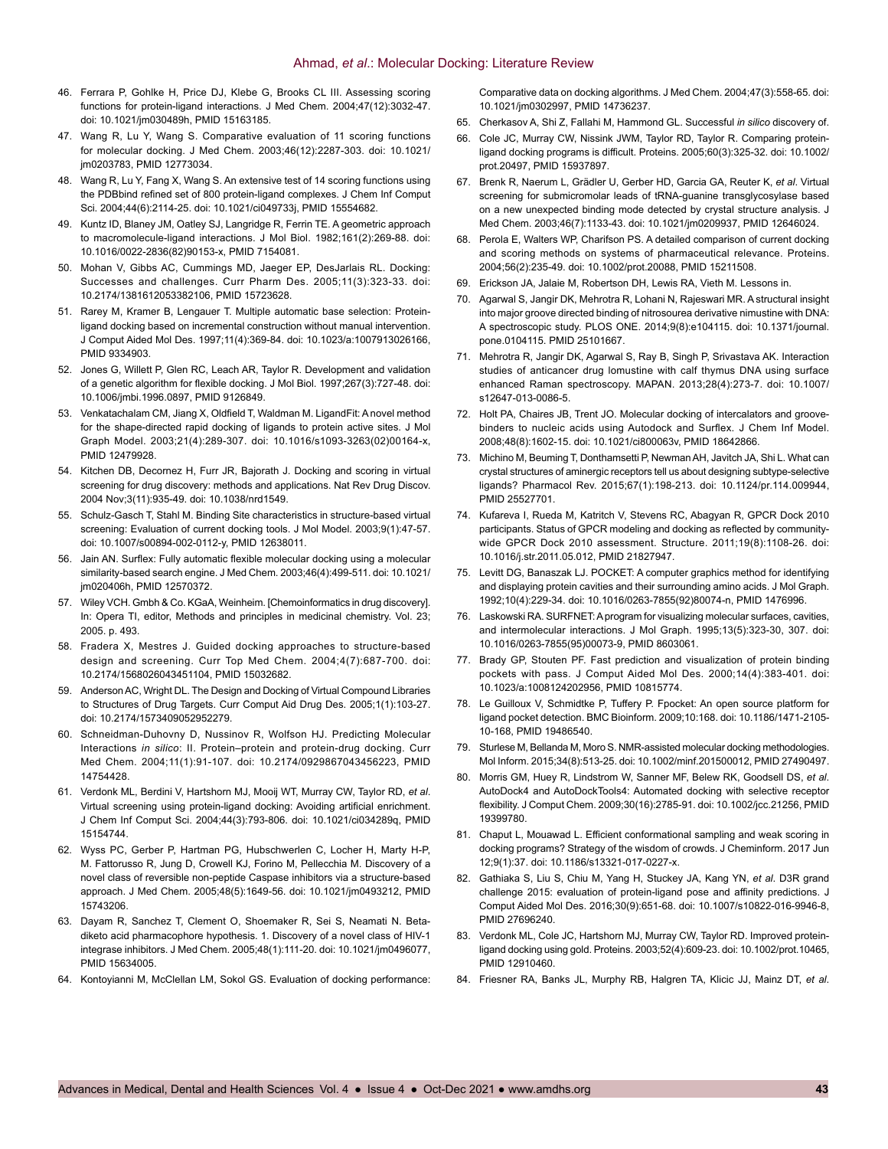- 46. Ferrara P, Gohlke H, Price DJ, Klebe G, Brooks CL III. Assessing scoring functions for protein-ligand interactions. J Med Chem. 2004;47(12):3032-47. doi: 10.1021/jm030489h, PMID 15163185.
- 47. Wang R, Lu Y, Wang S. Comparative evaluation of 11 scoring functions for molecular docking. J Med Chem. 2003;46(12):2287-303. doi: 10.1021/ jm0203783, PMID 12773034.
- 48. Wang R, Lu Y, Fang X, Wang S. An extensive test of 14 scoring functions using the PDBbind refined set of 800 protein-ligand complexes. J Chem Inf Comput Sci. 2004;44(6):2114-25. doi: 10.1021/ci049733j, PMID 15554682.
- 49. Kuntz ID, Blaney JM, Oatley SJ, Langridge R, Ferrin TE. A geometric approach to macromolecule-ligand interactions. J Mol Biol. 1982;161(2):269-88. doi: 10.1016/0022-2836(82)90153-x, PMID 7154081.
- 50. Mohan V, Gibbs AC, Cummings MD, Jaeger EP, DesJarlais RL. Docking: Successes and challenges. Curr Pharm Des. 2005;11(3):323-33. doi: 10.2174/1381612053382106, PMID 15723628.
- 51. Rarey M, Kramer B, Lengauer T. Multiple automatic base selection: Proteinligand docking based on incremental construction without manual intervention. J Comput Aided Mol Des. 1997;11(4):369-84. doi: 10.1023/a:1007913026166, PMID 9334903.
- 52. Jones G, Willett P, Glen RC, Leach AR, Taylor R. Development and validation of a genetic algorithm for flexible docking. J Mol Biol. 1997;267(3):727-48. doi: 10.1006/jmbi.1996.0897, PMID 9126849.
- 53. Venkatachalam CM, Jiang X, Oldfield T, Waldman M. LigandFit: A novel method for the shape-directed rapid docking of ligands to protein active sites. J Mol Graph Model. 2003;21(4):289-307. doi: 10.1016/s1093-3263(02)00164-x, PMID 12479928.
- 54. Kitchen DB, Decornez H, Furr JR, Bajorath J. Docking and scoring in virtual screening for drug discovery: methods and applications. Nat Rev Drug Discov. 2004 Nov;3(11):935-49. doi: 10.1038/nrd1549.
- 55. Schulz-Gasch T, Stahl M. Binding Site characteristics in structure-based virtual screening: Evaluation of current docking tools. J Mol Model. 2003;9(1):47-57. doi: 10.1007/s00894-002-0112-y, PMID 12638011.
- 56. Jain AN. Surflex: Fully automatic flexible molecular docking using a molecular similarity-based search engine. J Med Chem. 2003;46(4):499-511. doi: 10.1021/ jm020406h, PMID 12570372.
- 57. Wiley VCH. Gmbh & Co. KGaA, Weinheim. [Chemoinformatics in drug discovery]. In: Opera TI, editor, Methods and principles in medicinal chemistry. Vol. 23; 2005. p. 493.
- 58. Fradera X, Mestres J. Guided docking approaches to structure-based design and screening. Curr Top Med Chem. 2004;4(7):687-700. doi: 10.2174/1568026043451104, PMID 15032682.
- 59. Anderson AC, Wright DL. The Design and Docking of Virtual Compound Libraries to Structures of Drug Targets. Curr Comput Aid Drug Des. 2005;1(1):103-27. doi: 10.2174/1573409052952279.
- 60. Schneidman-Duhovny D, Nussinov R, Wolfson HJ. Predicting Molecular Interactions *in silico*: II. Protein–protein and protein-drug docking. Curr Med Chem. 2004;11(1):91-107. doi: 10.2174/0929867043456223, PMID 14754428.
- 61. Verdonk ML, Berdini V, Hartshorn MJ, Mooij WT, Murray CW, Taylor RD, *et al*. Virtual screening using protein-ligand docking: Avoiding artificial enrichment. J Chem Inf Comput Sci. 2004;44(3):793-806. doi: 10.1021/ci034289q, PMID 15154744.
- 62. Wyss PC, Gerber P, Hartman PG, Hubschwerlen C, Locher H, Marty H-P, M. Fattorusso R, Jung D, Crowell KJ, Forino M, Pellecchia M. Discovery of a novel class of reversible non-peptide Caspase inhibitors via a structure-based approach. J Med Chem. 2005;48(5):1649-56. doi: 10.1021/jm0493212, PMID 15743206.
- 63. Dayam R, Sanchez T, Clement O, Shoemaker R, Sei S, Neamati N. Betadiketo acid pharmacophore hypothesis. 1. Discovery of a novel class of HIV-1 integrase inhibitors. J Med Chem. 2005;48(1):111-20. doi: 10.1021/jm0496077, PMID 15634005.
- 64. Kontoyianni M, McClellan LM, Sokol GS. Evaluation of docking performance:

Comparative data on docking algorithms. J Med Chem. 2004;47(3):558-65. doi: 10.1021/jm0302997, PMID 14736237.

- 65. Cherkasov A, Shi Z, Fallahi M, Hammond GL. Successful *in silico* discovery of.
- 66. Cole JC, Murray CW, Nissink JWM, Taylor RD, Taylor R. Comparing proteinligand docking programs is difficult. Proteins. 2005;60(3):325-32. doi: 10.1002/ prot.20497, PMID 15937897.
- 67. Brenk R, Naerum L, Grädler U, Gerber HD, Garcia GA, Reuter K, *et al*. Virtual screening for submicromolar leads of tRNA-guanine transglycosylase based on a new unexpected binding mode detected by crystal structure analysis. J Med Chem. 2003;46(7):1133-43. doi: 10.1021/jm0209937, PMID 12646024.
- 68. Perola E, Walters WP, Charifson PS. A detailed comparison of current docking and scoring methods on systems of pharmaceutical relevance. Proteins. 2004;56(2):235-49. doi: 10.1002/prot.20088, PMID 15211508.
- 69. Erickson JA, Jalaie M, Robertson DH, Lewis RA, Vieth M. Lessons in.
- 70. Agarwal S, Jangir DK, Mehrotra R, Lohani N, Rajeswari MR. A structural insight into major groove directed binding of nitrosourea derivative nimustine with DNA: A spectroscopic study. PLOS ONE. 2014;9(8):e104115. doi: 10.1371/journal. pone.0104115. PMID 25101667.
- 71. Mehrotra R, Jangir DK, Agarwal S, Ray B, Singh P, Srivastava AK. Interaction studies of anticancer drug lomustine with calf thymus DNA using surface enhanced Raman spectroscopy. MAPAN. 2013;28(4):273-7. doi: 10.1007/ s12647-013-0086-5.
- 72. Holt PA, Chaires JB, Trent JO. Molecular docking of intercalators and groovebinders to nucleic acids using Autodock and Surflex. J Chem Inf Model. 2008;48(8):1602-15. doi: 10.1021/ci800063v, PMID 18642866.
- 73. Michino M, Beuming T, Donthamsetti P, Newman AH, Javitch JA, Shi L. What can crystal structures of aminergic receptors tell us about designing subtype-selective ligands? Pharmacol Rev. 2015;67(1):198-213. doi: 10.1124/pr.114.009944, PMID 25527701.
- 74. Kufareva I, Rueda M, Katritch V, Stevens RC, Abagyan R, GPCR Dock 2010 participants. Status of GPCR modeling and docking as reflected by communitywide GPCR Dock 2010 assessment. Structure. 2011;19(8):1108-26. doi: 10.1016/j.str.2011.05.012, PMID 21827947.
- 75. Levitt DG, Banaszak LJ. POCKET: A computer graphics method for identifying and displaying protein cavities and their surrounding amino acids. J Mol Graph. 1992;10(4):229-34. doi: 10.1016/0263-7855(92)80074-n, PMID 1476996.
- 76. Laskowski RA. SURFNET: A program for visualizing molecular surfaces, cavities, and intermolecular interactions. J Mol Graph. 1995;13(5):323-30, 307. doi: 10.1016/0263-7855(95)00073-9, PMID 8603061.
- 77. Brady GP, Stouten PF. Fast prediction and visualization of protein binding pockets with pass. J Comput Aided Mol Des. 2000;14(4):383-401. doi: 10.1023/a:1008124202956, PMID 10815774.
- 78. Le Guilloux V, Schmidtke P, Tuffery P. Fpocket: An open source platform for ligand pocket detection. BMC Bioinform. 2009;10:168. doi: 10.1186/1471-2105- 10-168, PMID 19486540.
- 79. Sturlese M, Bellanda M, Moro S. NMR-assisted molecular docking methodologies. Mol Inform. 2015;34(8):513-25. doi: 10.1002/minf.201500012, PMID 27490497.
- 80. Morris GM, Huey R, Lindstrom W, Sanner MF, Belew RK, Goodsell DS, *et al*. AutoDock4 and AutoDockTools4: Automated docking with selective receptor flexibility. J Comput Chem. 2009;30(16):2785-91. doi: 10.1002/jcc.21256, PMID 19399780.
- 81. Chaput L, Mouawad L. Efficient conformational sampling and weak scoring in docking programs? Strategy of the wisdom of crowds. J Cheminform. 2017 Jun 12;9(1):37. doi: 10.1186/s13321-017-0227-x.
- 82. Gathiaka S, Liu S, Chiu M, Yang H, Stuckey JA, Kang YN, *et al*. D3R grand challenge 2015: evaluation of protein-ligand pose and affinity predictions. J Comput Aided Mol Des. 2016;30(9):651-68. doi: 10.1007/s10822-016-9946-8, PMID 27696240.
- 83. Verdonk ML, Cole JC, Hartshorn MJ, Murray CW, Taylor RD. Improved proteinligand docking using gold. Proteins. 2003;52(4):609-23. doi: 10.1002/prot.10465, PMID 12910460.
- 84. Friesner RA, Banks JL, Murphy RB, Halgren TA, Klicic JJ, Mainz DT, *et al*.